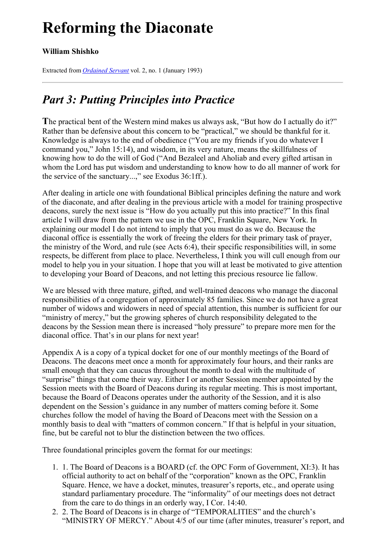# <span id="page-0-0"></span>**Reforming the Diaconate**

### **William Shishko**

Extracted from *[Ordained](../../Ordained_servant.html) Servant* vol. 2, no. 1 (January 1993)

## *Part 3: Putting Principles into Practice*

**T**he practical bent of the Western mind makes us always ask, "But how do I actually do it?" Rather than be defensive about this concern to be "practical," we should be thankful for it. Knowledge is always to the end of obedience ("You are my friends if you do whatever I command you," John 15:14), and wisdom, in its very nature, means the skillfulness of knowing how to do the will of God ("And Bezaleel and Aholiab and every gifted artisan in whom the Lord has put wisdom and understanding to know how to do all manner of work for the service of the sanctuary...," see Exodus 36:1ff.).

After dealing in article one with foundational Biblical principles defining the nature and work of the diaconate, and after dealing in the previous article with a model for training prospective deacons, surely the next issue is "How do you actually put this into practice?" In this final article I will draw from the pattern we use in the OPC, Franklin Square, New York. In explaining our model I do not intend to imply that you must do as we do. Because the diaconal office is essentially the work of freeing the elders for their primary task of prayer, the ministry of the Word, and rule (see Acts 6:4), their specific responsibilities will, in some respects, be different from place to place. Nevertheless, I think you will cull enough from our model to help you in your situation. I hope that you will at least be motivated to give attention to developing your Board of Deacons, and not letting this precious resource lie fallow.

We are blessed with three mature, gifted, and well-trained deacons who manage the diaconal responsibilities of a congregation of approximately 85 families. Since we do not have a great number of widows and widowers in need of special attention, this number is sufficient for our "ministry of mercy," but the growing spheres of church responsibility delegated to the deacons by the Session mean there is increased "holy pressure" to prepare more men for the diaconal office. That's in our plans for next year!

Appendix A is a copy of a typical docket for one of our monthly meetings of the Board of Deacons. The deacons meet once a month for approximately four hours, and their ranks are small enough that they can caucus throughout the month to deal with the multitude of "surprise" things that come their way. Either I or another Session member appointed by the Session meets with the Board of Deacons during its regular meeting. This is most important, because the Board of Deacons operates under the authority of the Session, and it is also dependent on the Session's guidance in any number of matters coming before it. Some churches follow the model of having the Board of Deacons meet with the Session on a monthly basis to deal with "matters of common concern." If that is helpful in your situation, fine, but be careful not to blur the distinction between the two offices.

Three foundational principles govern the format for our meetings:

- 1. 1. The Board of Deacons is a BOARD (cf. the OPC Form of Government, XI:3). It has official authority to act on behalf of the "corporation" known as the OPC, Franklin Square. Hence, we have a docket, minutes, treasurer's reports, etc., and operate using standard parliamentary procedure. The "informality" of our meetings does not detract from the care to do things in an orderly way, I Cor. 14:40.
- 2. 2. The Board of Deacons is in charge of "TEMPORALITIES" and the church's "MINISTRY OF MERCY." About 4/5 of our time (after minutes, treasurer's report, and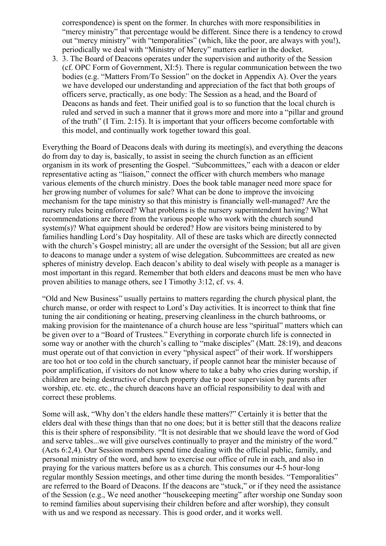correspondence) is spent on the former. In churches with more responsibilities in "mercy ministry" that percentage would be different. Since there is a tendency to crowd out "mercy ministry" with "temporalities" (which, like the poor, are always with you!), periodically we deal with "Ministry of Mercy" matters earlier in the docket.

3. 3. The Board of Deacons operates under the supervision and authority of the Session (cf. OPC Form of Government, XI:5). There is regular communication between the two bodies (e.g. "Matters From/To Session" on the docket in Appendix A). Over the years we have developed our understanding and appreciation of the fact that both groups of officers serve, practically, as one body: The Session as a head, and the Board of Deacons as hands and feet. Their unified goal is to so function that the local church is ruled and served in such a manner that it grows more and more into a "pillar and ground of the truth" (I Tim. 2:15). It is important that your officers become comfortable with this model, and continually work together toward this goal.

Everything the Board of Deacons deals with during its meeting(s), and everything the deacons do from day to day is, basically, to assist in seeing the church function as an efficient organism in its work of presenting the Gospel. "Subcommittees," each with a deacon or elder representative acting as "liaison," connect the officer with church members who manage various elements of the church ministry. Does the book table manager need more space for her growing number of volumes for sale? What can be done to improve the invoicing mechanism for the tape ministry so that this ministry is financially well-managed? Are the nursery rules being enforced? What problems is the nursery superintendent having? What recommendations are there from the various people who work with the church sound system(s)? What equipment should be ordered? How are visitors being ministered to by families handling Lord's Day hospitality. All of these are tasks which are directly connected with the church's Gospel ministry; all are under the oversight of the Session; but all are given to deacons to manage under a system of wise delegation. Subcommittees are created as new spheres of ministry develop. Each deacon's ability to deal wisely with people as a manager is most important in this regard. Remember that both elders and deacons must be men who have proven abilities to manage others, see I Timothy 3:12, cf. vs. 4.

"Old and New Business" usually pertains to matters regarding the church physical plant, the church manse, or order with respect to Lord's Day activities. It is incorrect to think that fine tuning the air conditioning or heating, preserving cleanliness in the church bathrooms, or making provision for the maintenance of a church house are less "spiritual" matters which can be given over to a "Board of Trustees." Everything in corporate church life is connected in some way or another with the church's calling to "make disciples" (Matt. 28:19), and deacons must operate out of that conviction in every "physical aspect" of their work. If worshippers are too hot or too cold in the church sanctuary, if people cannot hear the minister because of poor amplification, if visitors do not know where to take a baby who cries during worship, if children are being destructive of church property due to poor supervision by parents after worship, etc. etc. etc., the church deacons have an official responsibility to deal with and correct these problems.

Some will ask, "Why don't the elders handle these matters?" Certainly it is better that the elders deal with these things than that no one does; but it is better still that the deacons realize this is their sphere of responsibility. "It is not desirable that we should leave the word of God and serve tables...we will give ourselves continually to prayer and the ministry of the word." (Acts 6:2,4). Our Session members spend time dealing with the official public, family, and personal ministry of the word, and how to exercise our office of rule in each, and also in praying for the various matters before us as a church. This consumes our 4-5 hour-long regular monthly Session meetings, and other time during the month besides. "Temporalities" are referred to the Board of Deacons. If the deacons are "stuck," or if they need the assistance of the Session (e.g., We need another "housekeeping meeting" after worship one Sunday soon to remind families about supervising their children before and after worship), they consult with us and we respond as necessary. This is good order, and it works well.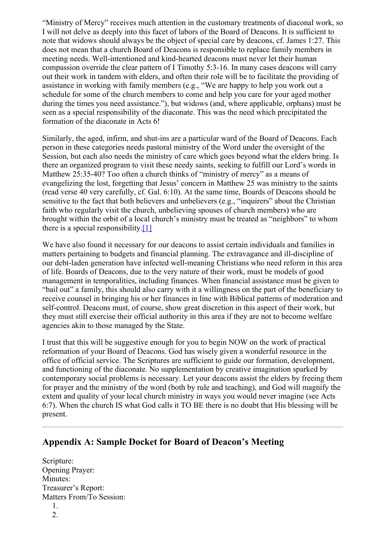"Ministry of Mercy" receives much attention in the customary treatments of diaconal work, so I will not delve as deeply into this facet of labors of the Board of Deacons. It is sufficient to note that widows should always be the object of special care by deacons, cf. James 1:27. This does not mean that a church Board of Deacons is responsible to replace family members in meeting needs. Well-intentioned and kind-hearted deacons must never let their human compassion override the clear pattern of I Timothy 5:3-16. In many cases deacons will carry out their work in tandem with elders, and often their role will be to facilitate the providing of assistance in working with family members (e.g., "We are happy to help you work out a schedule for some of the church members to come and help you care for your aged mother during the times you need assistance."), but widows (and, where applicable, orphans) must be seen as a special responsibility of the diaconate. This was the need which precipitated the formation of the diaconate in Acts 6!

Similarly, the aged, infirm, and shut-ins are a particular ward of the Board of Deacons. Each person in these categories needs pastoral ministry of the Word under the oversight of the Session, but each also needs the ministry of care which goes beyond what the elders bring. Is there an organized program to visit these needy saints, seeking to fulfill our Lord's words in Matthew 25:35-40? Too often a church thinks of "ministry of mercy" as a means of evangelizing the lost, forgetting that Jesus' concern in Matthew 25 was ministry to the saints (read verse 40 very carefully, cf. Gal. 6:10). At the same time, Boards of Deacons should be sensitive to the fact that both believers and unbelievers (e.g., "inquirers" about the Christian faith who regularly visit the church, unbelieving spouses of church members) who are brought within the orbit of a local church's ministry must be treated as "neighbors" to whom there is a special responsibility. $[1]$ 

<span id="page-2-0"></span>We have also found it necessary for our deacons to assist certain individuals and families in matters pertaining to budgets and financial planning. The extravagance and ill-discipline of our debt-laden generation have infected well-meaning Christians who need reform in this area of life. Boards of Deacons, due to the very nature of their work, must be models of good management in temporalities, including finances. When financial assistance must be given to "bail out" a family, this should also carry with it a willingness on the part of the beneficiary to receive counsel in bringing his or her finances in line with Biblical patterns of moderation and self-control. Deacons must, of course, show great discretion in this aspect of their work, but they must still exercise their official authority in this area if they are not to become welfare agencies akin to those managed by the State.

I trust that this will be suggestive enough for you to begin NOW on the work of practical reformation of your Board of Deacons. God has wisely given a wonderful resource in the office of official service. The Scriptures are sufficient to guide our formation, development, and functioning of the diaconate. No supplementation by creative imagination sparked by contemporary social problems is necessary. Let your deacons assist the elders by freeing them for prayer and the ministry of the word (both by rule and teaching), and God will magnify the extent and quality of your local church ministry in ways you would never imagine (see Acts 6:7). When the church IS what God calls it TO BE there is no doubt that His blessing will be present.

### **Appendix A: Sample Docket for Board of Deacon's Meeting**

Scripture: Opening Prayer: Minutes: Treasurer's Report: Matters From/To Session: 1. 2.